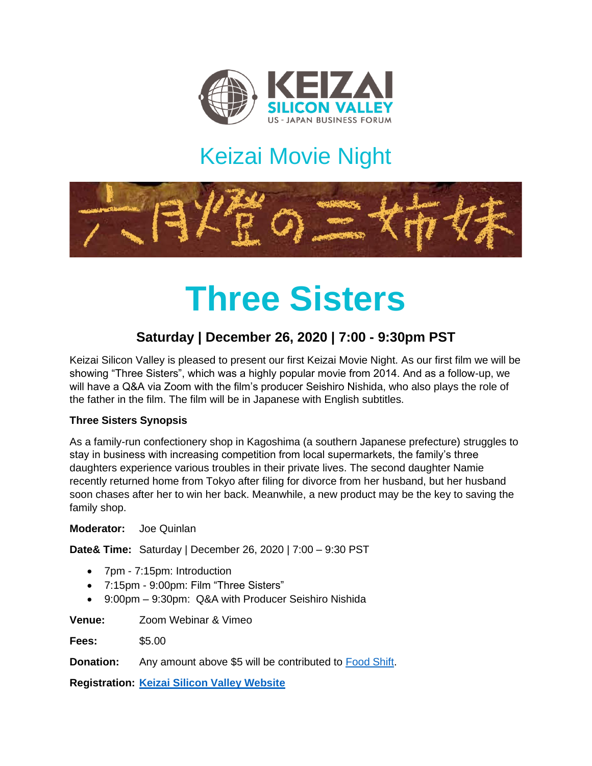

# Keizai Movie Night



# **Three Sisters**

### **Saturday | December 26, 2020 | 7:00 - 9:30pm PST**

Keizai Silicon Valley is pleased to present our first Keizai Movie Night. As our first film we will be showing "Three Sisters", which was a highly popular movie from 2014. And as a follow-up, we will have a Q&A via Zoom with the film's producer Seishiro Nishida, who also plays the role of the father in the film. The film will be in Japanese with English subtitles.

#### **Three Sisters Synopsis**

As a family-run confectionery shop in Kagoshima (a southern Japanese prefecture) struggles to stay in business with increasing competition from local supermarkets, the family's three daughters experience various troubles in their private lives. The second daughter Namie recently returned home from Tokyo after filing for divorce from her husband, but her husband soon chases after her to win her back. Meanwhile, a new product may be the key to saving the family shop.

**Moderator:** Joe Quinlan

**Date& Time:** Saturday | December 26, 2020 | 7:00 – 9:30 PST

- 7pm 7:15pm: Introduction
- 7:15pm 9:00pm: Film "Three Sisters"
- 9:00pm 9:30pm: Q&A with Producer Seishiro Nishida

**Venue:** Zoom Webinar & Vimeo

**Fees:** \$5.00

**Donation:** Any amount above \$5 will be contributed to [Food Shift.](https://foodshift.net/)

**Registration: [Keizai](https://keizai.org/) Silicon Valley Website**